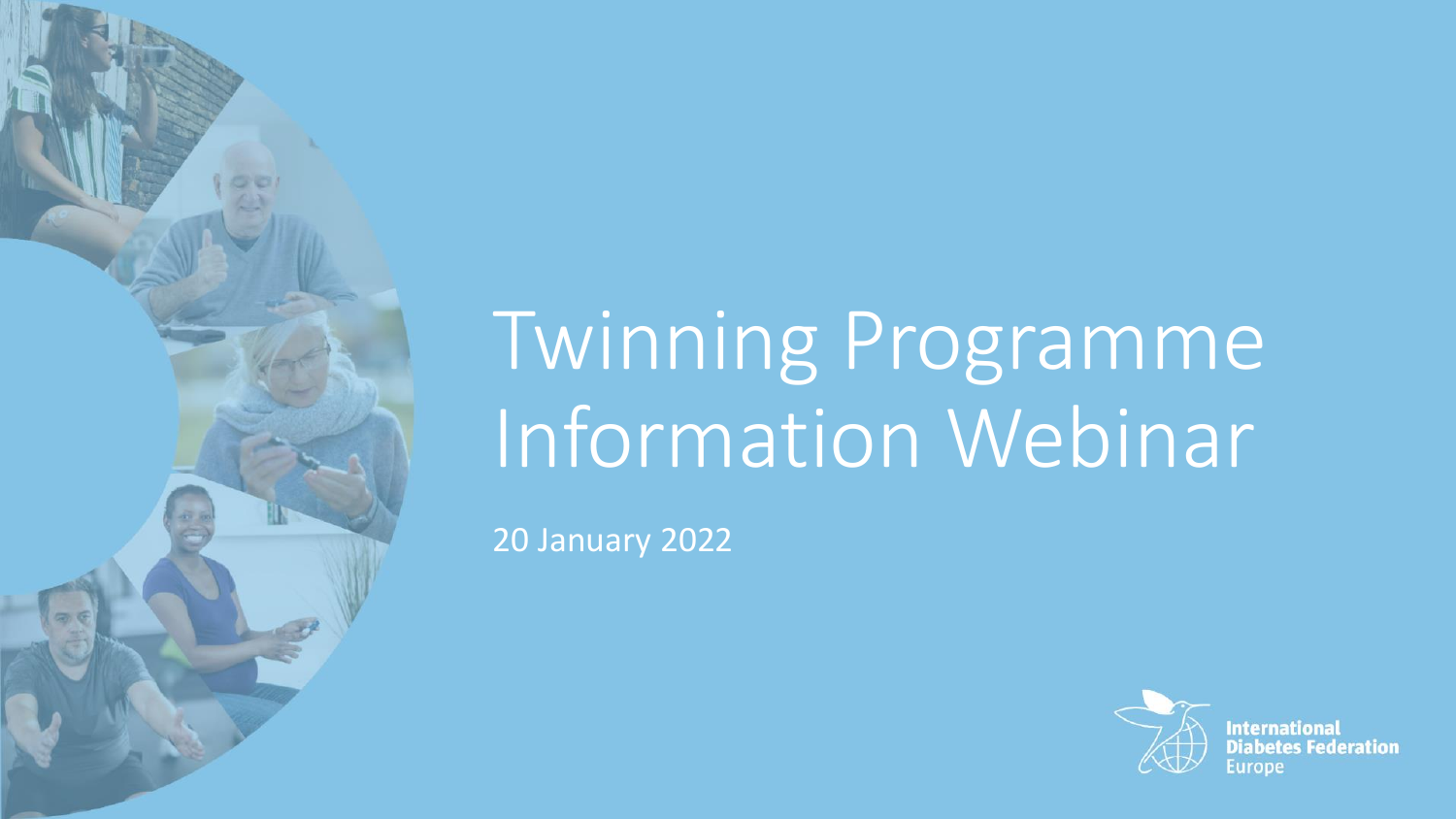# Twinning Programme Information Webinar

20 January 2022



**International Diabetes Federation**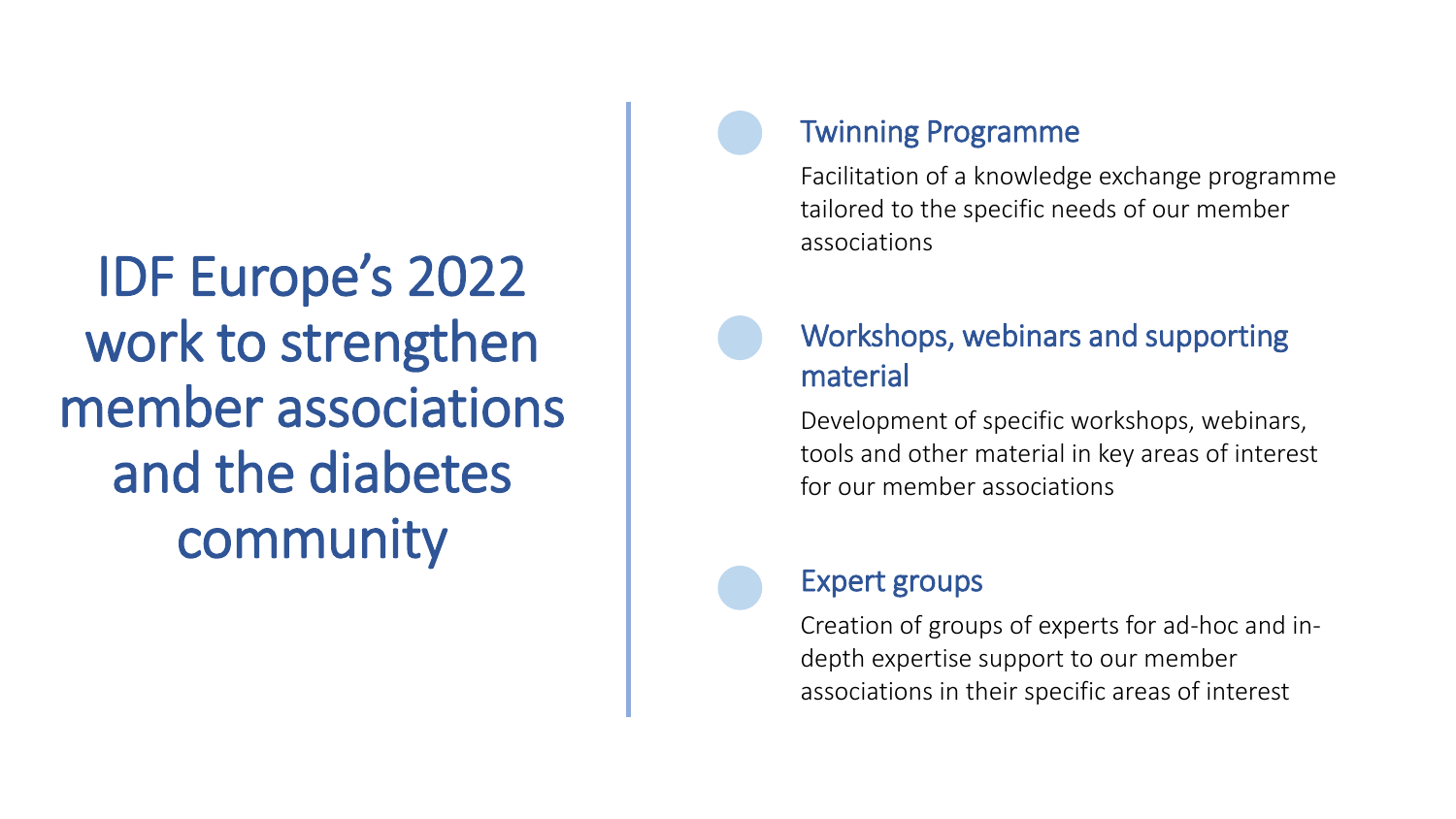IDF Europe's 2022 work to strengthen member associations and the diabetes community

### Twinning Programme

Facilitation of a knowledge exchange programme tailored to the specific needs of our member associations

## Workshops, webinars and supporting material

Development of specific workshops, webinars, tools and other material in key areas of interest for our member associations

### Expert groups

Creation of groups of experts for ad-hoc and indepth expertise support to our member associations in their specific areas of interest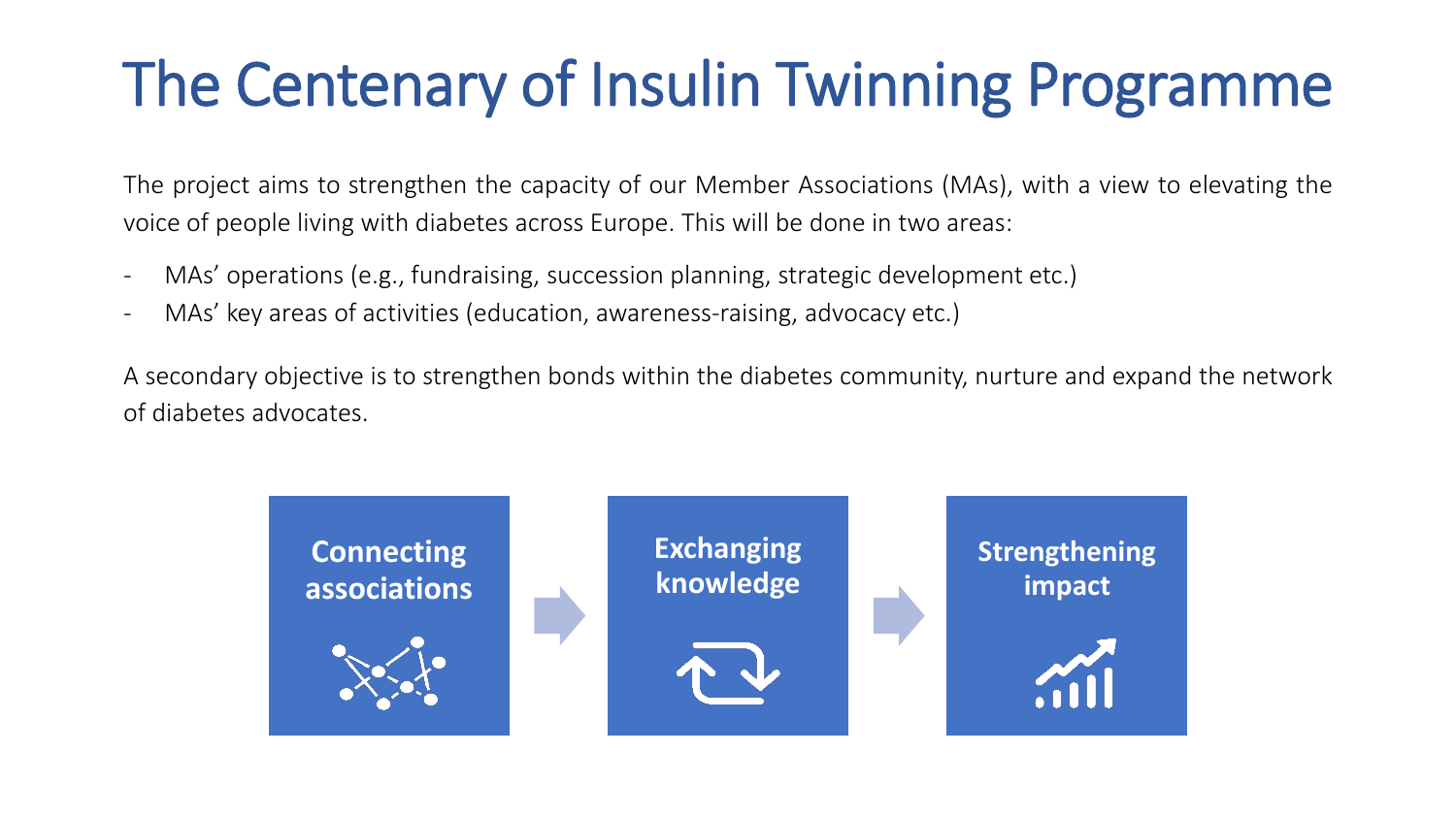# The Centenary of Insulin Twinning Programme

The project aims to strengthen the capacity of our Member Associations (MAs), with a view to elevating the voice of people living with diabetes across Europe. This will be done in two areas:

- MAs' operations (e.g., fundraising, succession planning, strategic development etc.)
- MAs' key areas of activities (education, awareness-raising, advocacy etc.)

A secondary objective is to strengthen bonds within the diabetes community, nurture and expand the network of diabetes advocates.

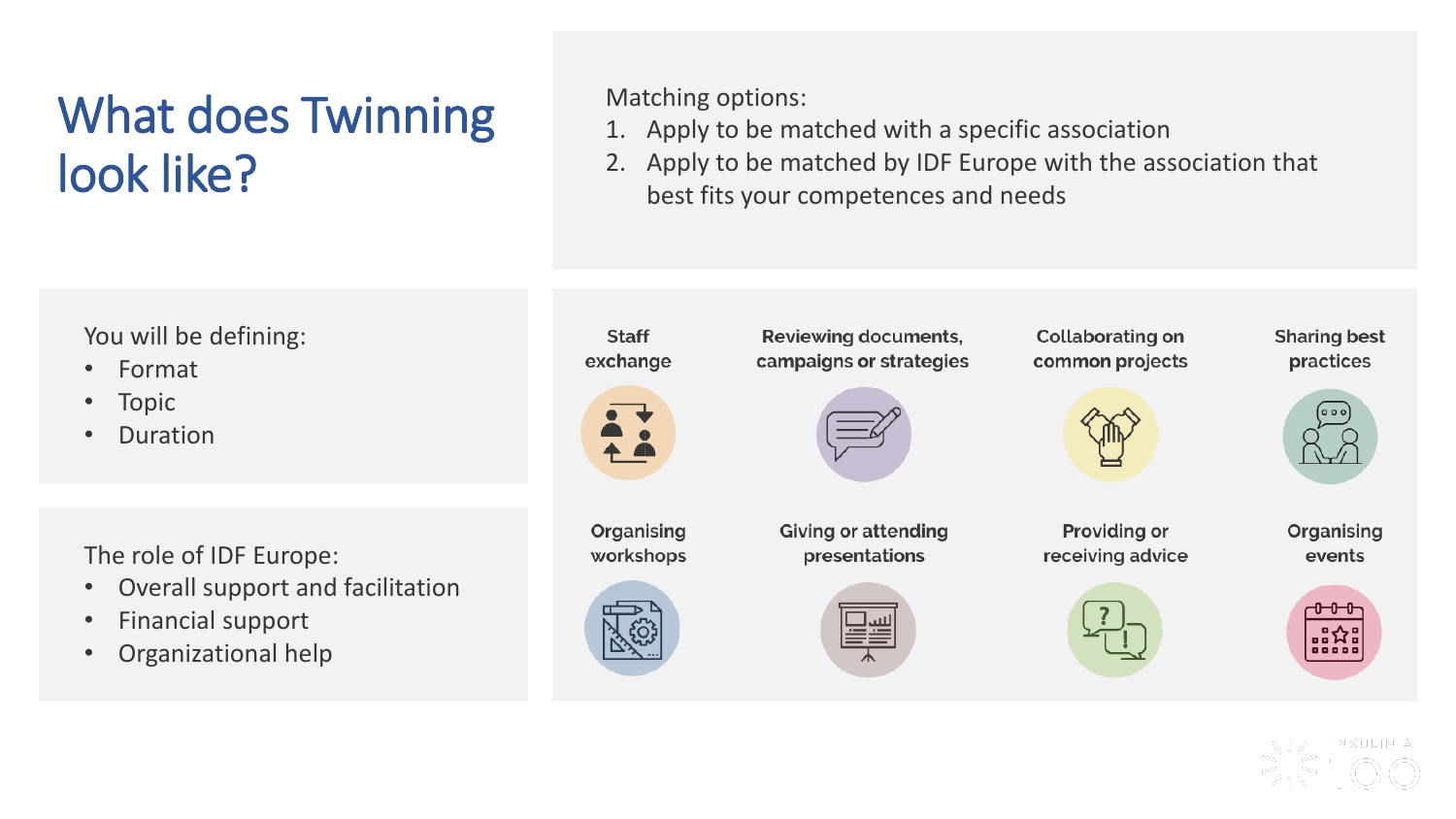# What does Twinning look like?

Matching options:

- 1. Apply to be matched with a specific association
- 2. Apply to be matched by IDF Europe with the association that best fits your competences and needs



- Format
- Topic
- Duration

The role of IDF Europe:

- Overall support and facilitation
- Financial support
- Organizational help

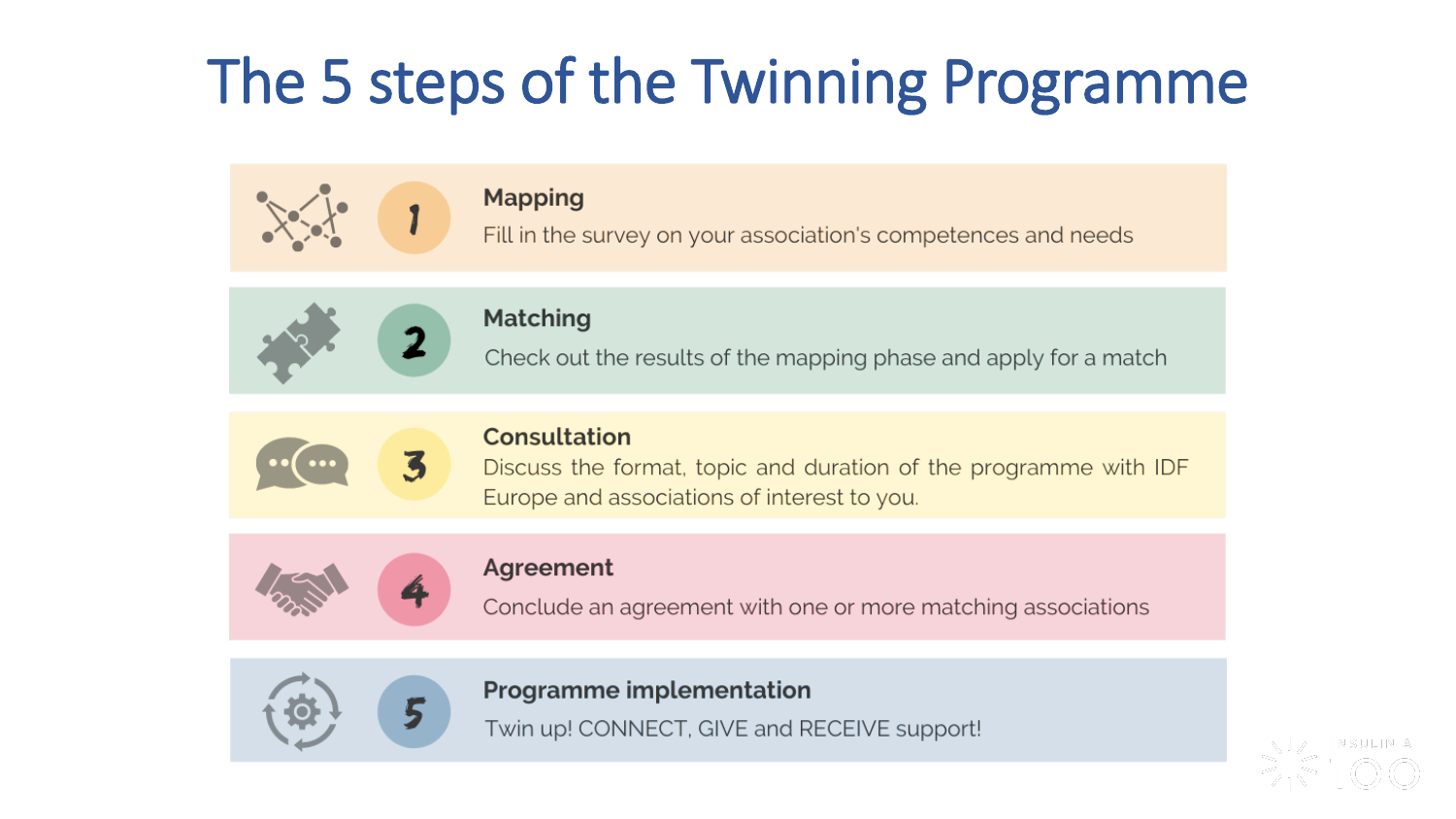# The 5 steps of the Twinning Programme



#### **Mapping**

Fill in the survey on your association's competences and needs



#### **Matching**

Check out the results of the mapping phase and apply for a match



#### Consultation

Discuss the format, topic and duration of the programme with IDF Europe and associations of interest to you.



#### Agreement

Conclude an agreement with one or more matching associations



#### **Programme implementation**

Twin up! CONNECT, GIVE and RECEIVE support!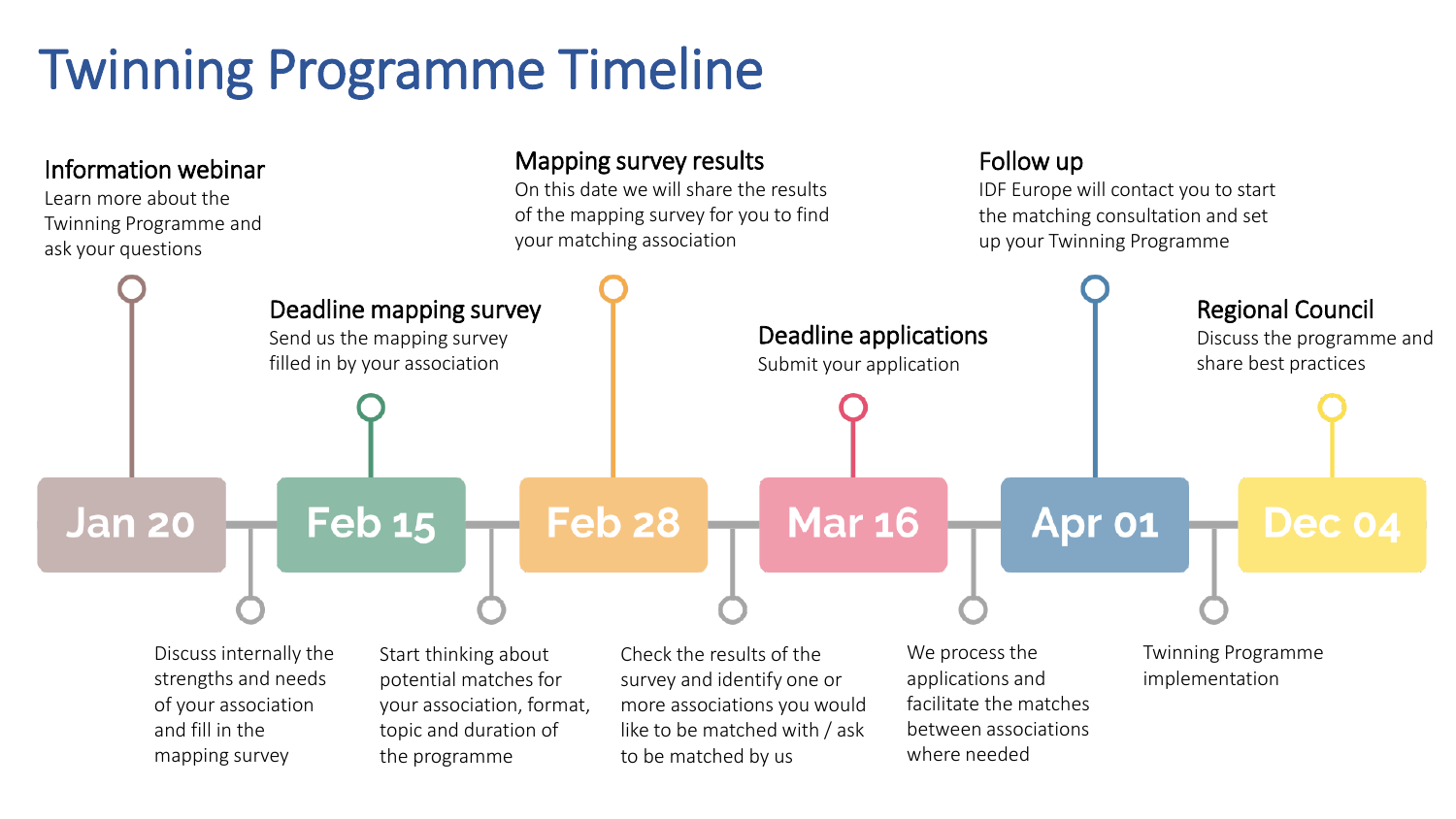# Twinning Programme Timeline

#### Information webinar

Learn more about the Twinning Programme and ask your questions

#### Mapping survey results

On this date we will share the results of the mapping survey for you to find your matching association

Follow up

IDF Europe will contact you to start the matching consultation and set up your Twinning Programme

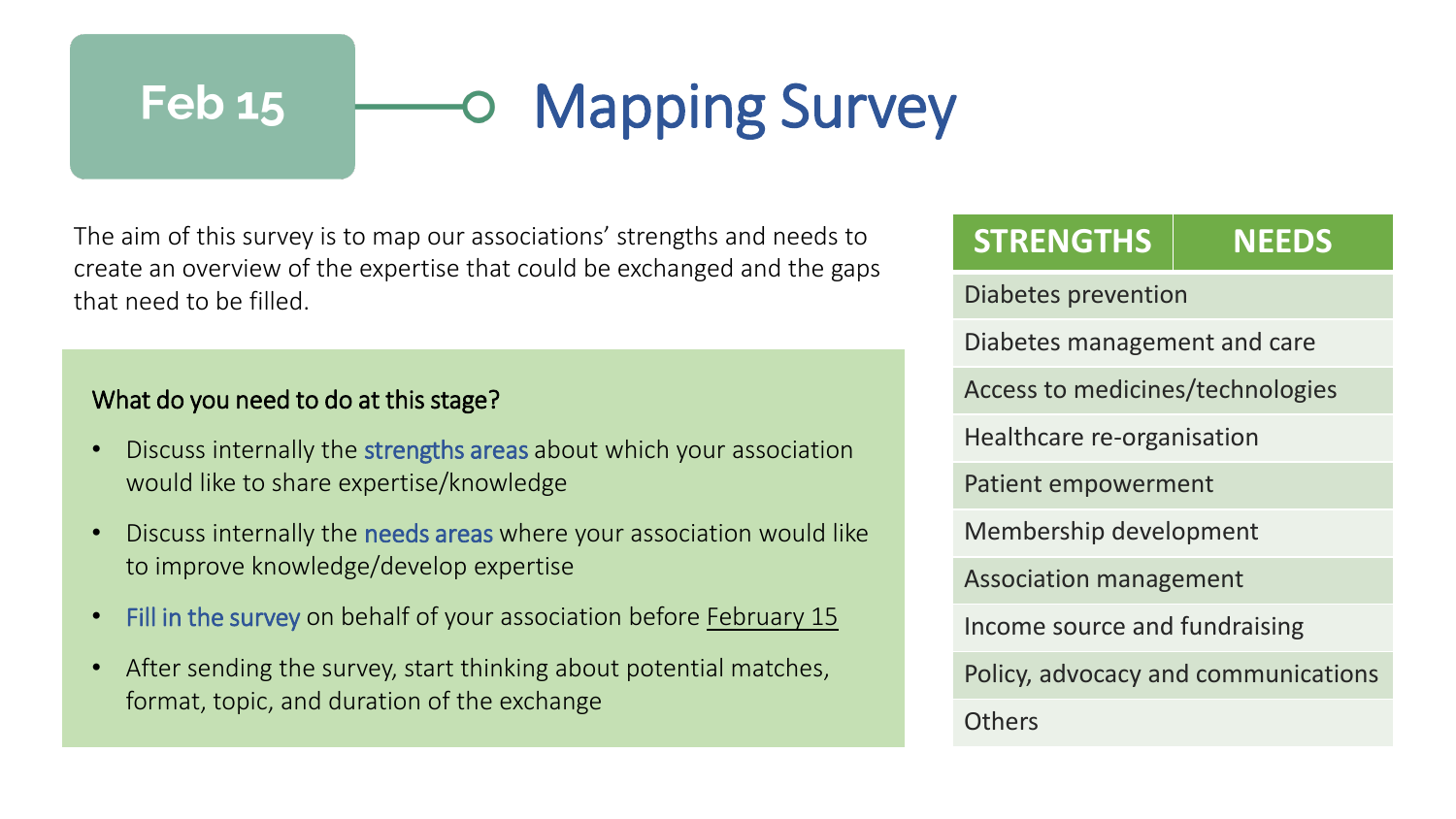#### Mapping Survey **Feb 15**  $\bullet$

The aim of this survey is to map our associations' strengths and needs to create an overview of the expertise that could be exchanged and the gaps that need to be filled.

#### What do you need to do at this stage?

- Discuss internally the strengths areas about which your association would like to share expertise/knowledge
- Discuss internally the needs areas where your association would like to improve knowledge/develop expertise
- Fill in the survey on behalf of your association before February 15
- After sending the survey, start thinking about potential matches, format, topic, and duration of the exchange

| <b>STRENGTHS</b>                    | <b>NEEDS</b> |
|-------------------------------------|--------------|
| Diabetes prevention                 |              |
| Diabetes management and care        |              |
| Access to medicines/technologies    |              |
| Healthcare re-organisation          |              |
| <b>Patient empowerment</b>          |              |
| Membership development              |              |
| <b>Association management</b>       |              |
| Income source and fundraising       |              |
| Policy, advocacy and communications |              |
| <b>Others</b>                       |              |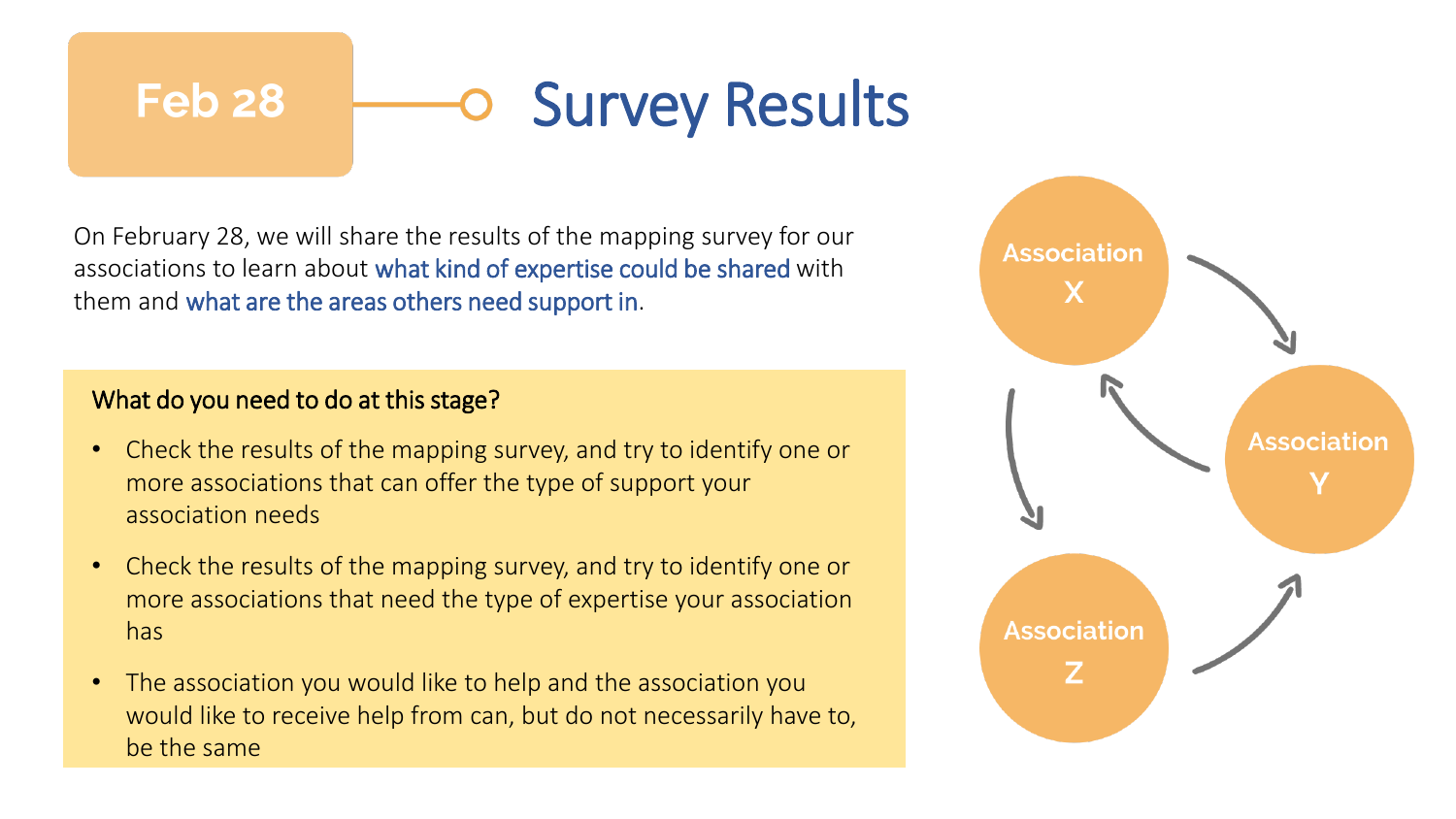### Survey Results **Feb 28**

On February 28, we will share the results of the mapping survey for our associations to learn about what kind of expertise could be shared with them and what are the areas others need support in.

#### What do you need to do at this stage?

- Check the results of the mapping survey, and try to identify one or more associations that can offer the type of support your association needs
- Check the results of the mapping survey, and try to identify one or more associations that need the type of expertise your association has
- The association you would like to help and the association you would like to receive help from can, but do not necessarily have to, be the same

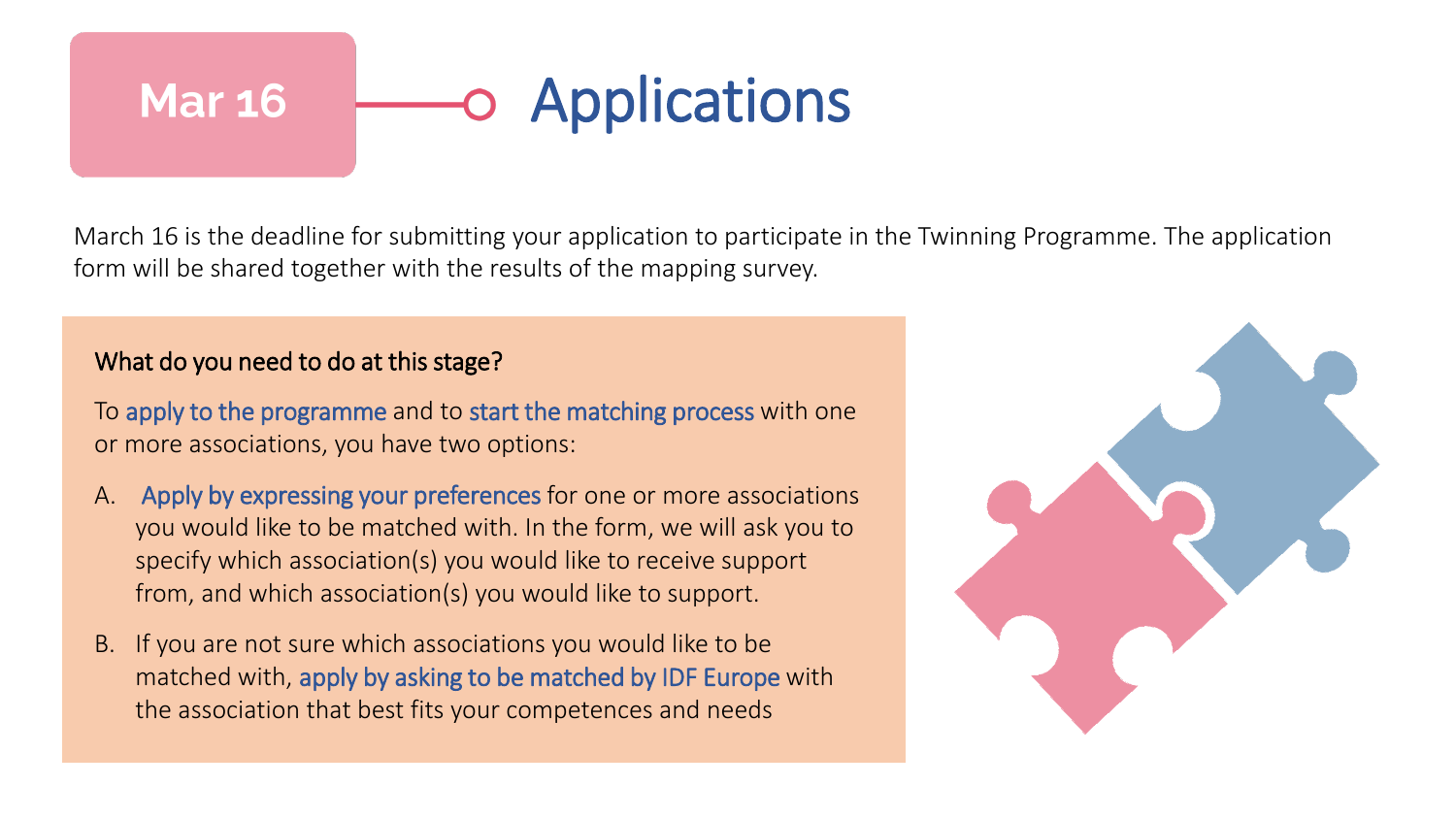## **Applications Mar 16**

March 16 is the deadline for submitting your application to participate in the Twinning Programme. The application form will be shared together with the results of the mapping survey.

#### What do you need to do at this stage?

To apply to the programme and to start the matching process with one or more associations, you have two options:

- A. Apply by expressing your preferences for one or more associations you would like to be matched with. In the form, we will ask you to specify which association(s) you would like to receive support from, and which association(s) you would like to support.
- B. If you are not sure which associations you would like to be matched with, apply by asking to be matched by IDF Europe with the association that best fits your competences and needs

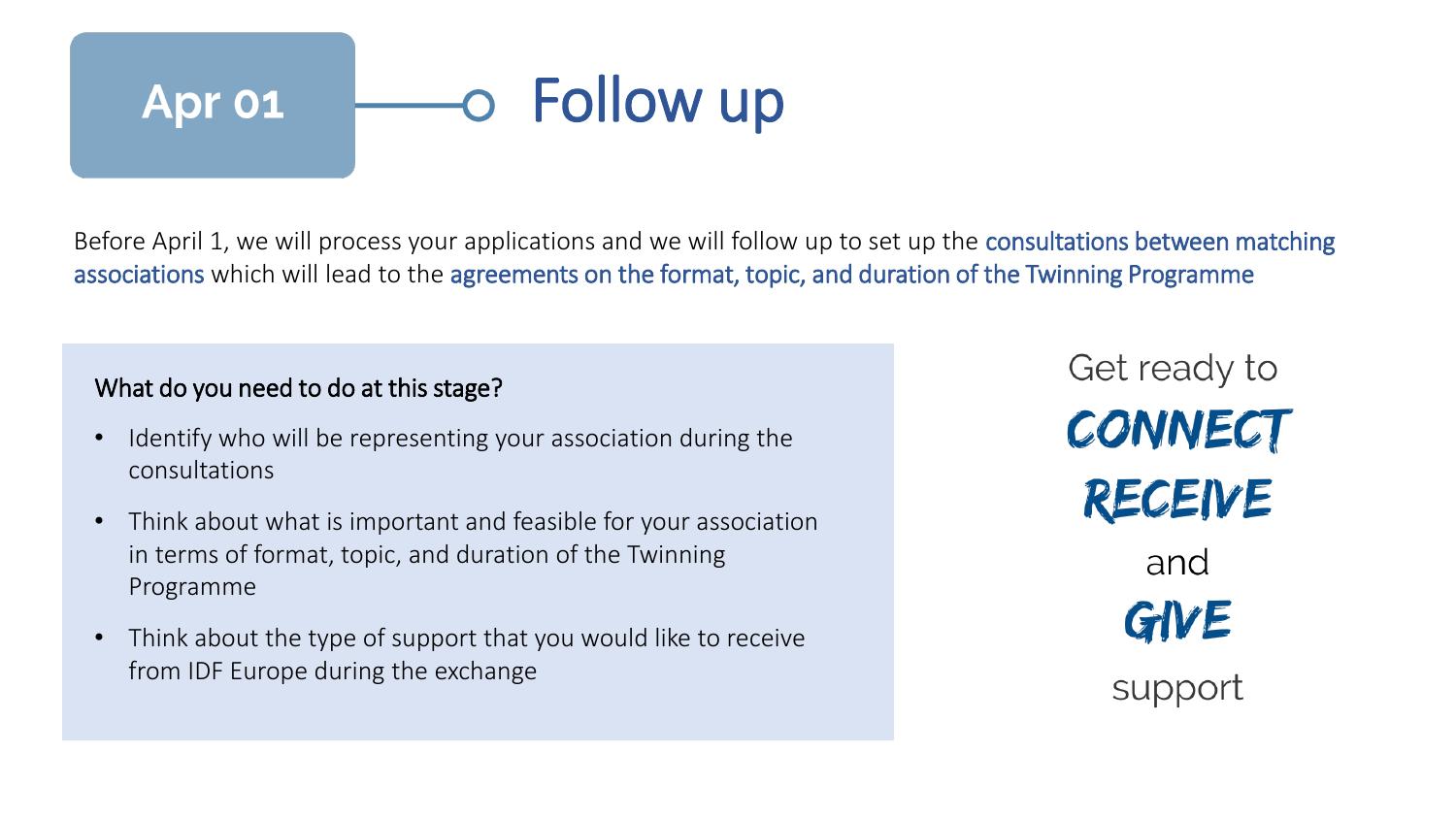# Follow up Apr 01

Before April 1, we will process your applications and we will follow up to set up the consultations between matching associations which will lead to the agreements on the format, topic, and duration of the Twinning Programme

#### What do you need to do at this stage?

- Identify who will be representing your association during the consultations
- Think about what is important and feasible for your association in terms of format, topic, and duration of the Twinning Programme
- Think about the type of support that you would like to receive from IDF Europe during the exchange

Get ready to CONNECT RECEIVE and GIVE support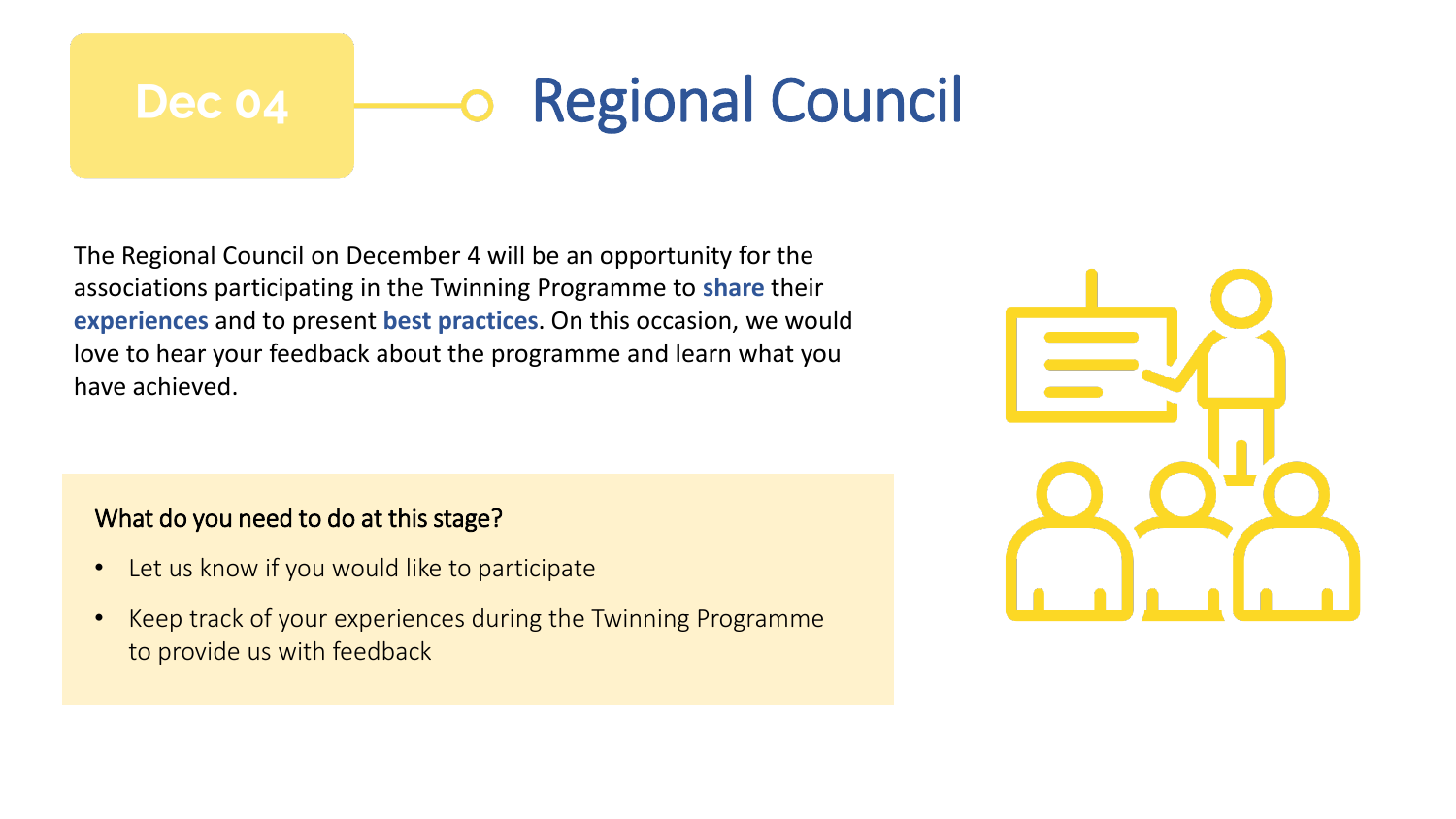### Regional Council Dec 04

The Regional Council on December 4 will be an opportunity for the associations participating in the Twinning Programme to **share** their **experiences** and to present **best practices**. On this occasion, we would love to hear your feedback about the programme and learn what you have achieved.

#### What do you need to do at this stage?

- Let us know if you would like to participate
- Keep track of your experiences during the Twinning Programme to provide us with feedback

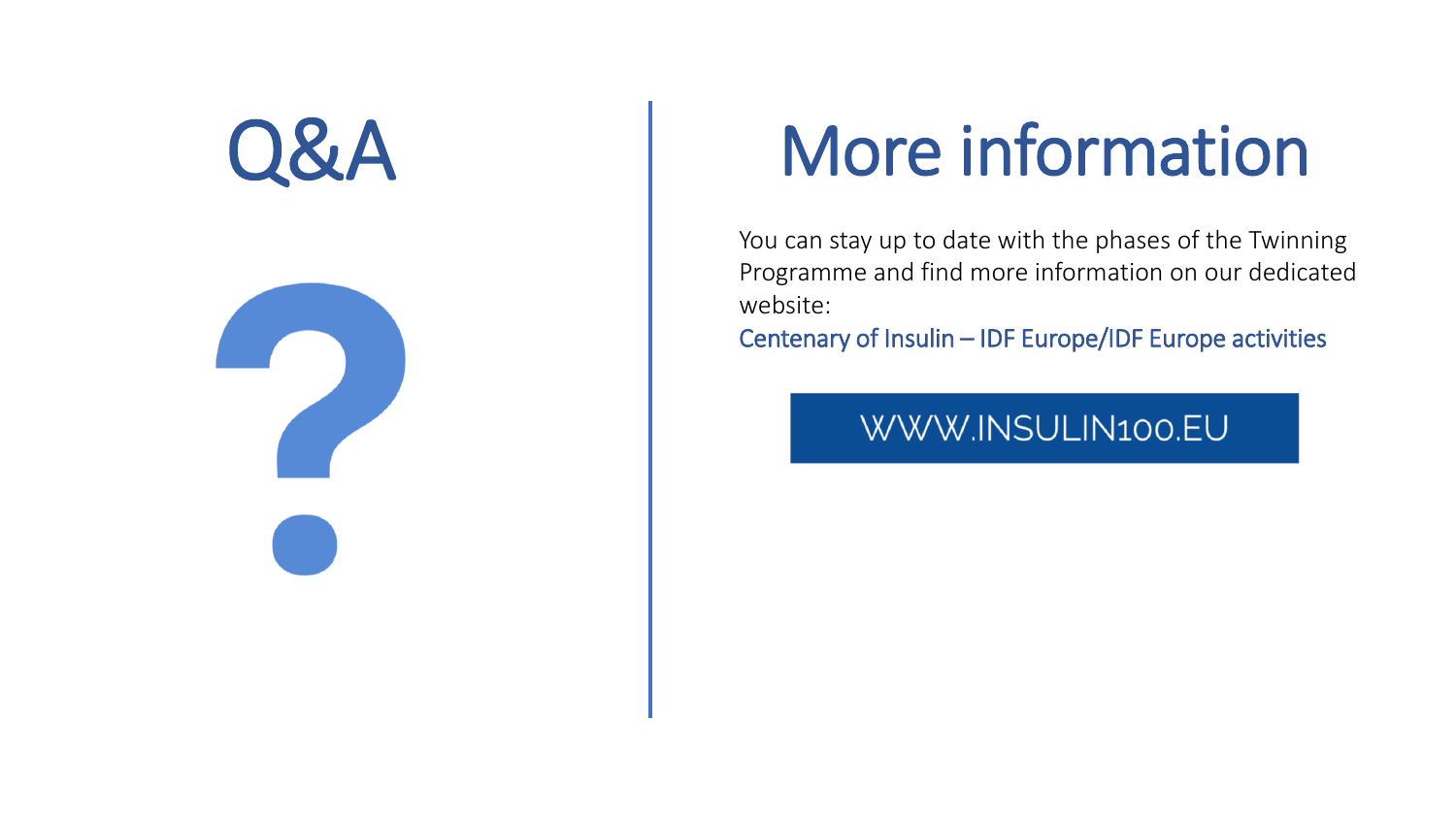



# Q&A More information

You can stay up to date with the phases of the Twinning Programme and find more information on our dedicated website:

Centenary of Insulin – IDF Europe/IDF Europe activities

WWW.INSULIN100.EU